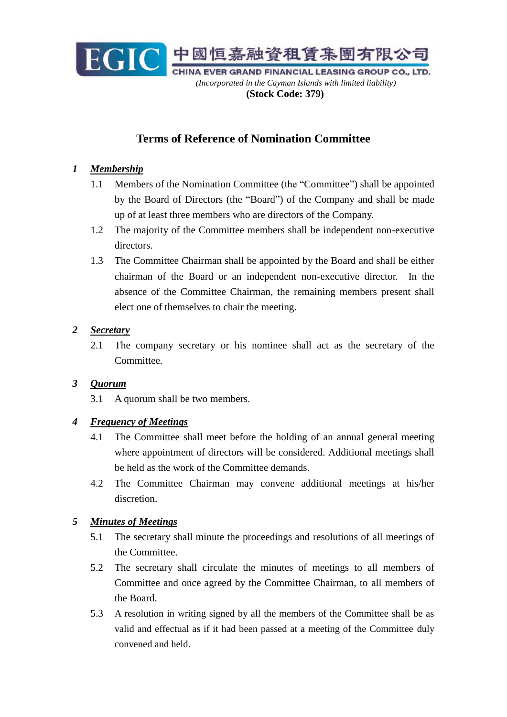

# **Terms of Reference of Nomination Committee**

## *1 Membership*

- 1.1 Members of the Nomination Committee (the "Committee") shall be appointed by the Board of Directors (the "Board") of the Company and shall be made up of at least three members who are directors of the Company.
- 1.2 The majority of the Committee members shall be independent non-executive directors.
- 1.3 The Committee Chairman shall be appointed by the Board and shall be either chairman of the Board or an independent non-executive director. In the absence of the Committee Chairman, the remaining members present shall elect one of themselves to chair the meeting.

#### *2 Secretary*

2.1 The company secretary or his nominee shall act as the secretary of the Committee.

#### *3 Quorum*

3.1 A quorum shall be two members.

#### *4 Frequency of Meetings*

- 4.1 The Committee shall meet before the holding of an annual general meeting where appointment of directors will be considered. Additional meetings shall be held as the work of the Committee demands.
- 4.2 The Committee Chairman may convene additional meetings at his/her discretion.

#### *5 Minutes of Meetings*

- 5.1 The secretary shall minute the proceedings and resolutions of all meetings of the Committee.
- 5.2 The secretary shall circulate the minutes of meetings to all members of Committee and once agreed by the Committee Chairman, to all members of the Board.
- 5.3 A resolution in writing signed by all the members of the Committee shall be as valid and effectual as if it had been passed at a meeting of the Committee duly convened and held.